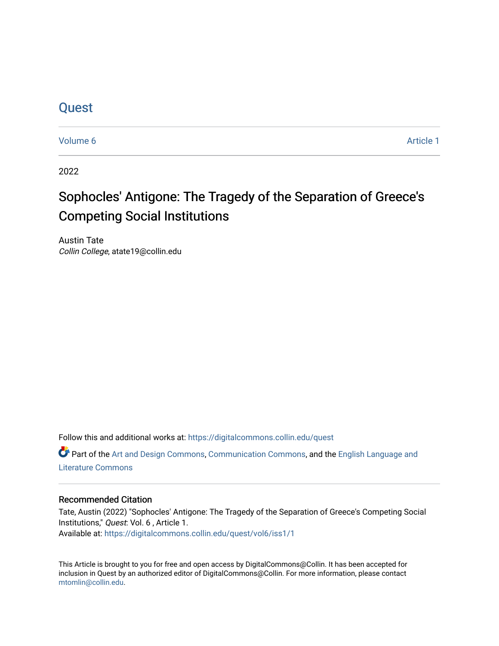### **Quest**

[Volume 6](https://digitalcommons.collin.edu/quest/vol6) Article 1

2022

## Sophocles' Antigone: The Tragedy of the Separation of Greece's Competing Social Institutions

Austin Tate Collin College, atate19@collin.edu

Follow this and additional works at: [https://digitalcommons.collin.edu/quest](https://digitalcommons.collin.edu/quest?utm_source=digitalcommons.collin.edu%2Fquest%2Fvol6%2Fiss1%2F1&utm_medium=PDF&utm_campaign=PDFCoverPages) 

Part of the [Art and Design Commons](http://network.bepress.com/hgg/discipline/1049?utm_source=digitalcommons.collin.edu%2Fquest%2Fvol6%2Fiss1%2F1&utm_medium=PDF&utm_campaign=PDFCoverPages), [Communication Commons](http://network.bepress.com/hgg/discipline/325?utm_source=digitalcommons.collin.edu%2Fquest%2Fvol6%2Fiss1%2F1&utm_medium=PDF&utm_campaign=PDFCoverPages), and the [English Language and](http://network.bepress.com/hgg/discipline/455?utm_source=digitalcommons.collin.edu%2Fquest%2Fvol6%2Fiss1%2F1&utm_medium=PDF&utm_campaign=PDFCoverPages)  [Literature Commons](http://network.bepress.com/hgg/discipline/455?utm_source=digitalcommons.collin.edu%2Fquest%2Fvol6%2Fiss1%2F1&utm_medium=PDF&utm_campaign=PDFCoverPages) 

#### Recommended Citation

Tate, Austin (2022) "Sophocles' Antigone: The Tragedy of the Separation of Greece's Competing Social Institutions," Quest: Vol. 6 , Article 1. Available at: [https://digitalcommons.collin.edu/quest/vol6/iss1/1](https://digitalcommons.collin.edu/quest/vol6/iss1/1?utm_source=digitalcommons.collin.edu%2Fquest%2Fvol6%2Fiss1%2F1&utm_medium=PDF&utm_campaign=PDFCoverPages) 

This Article is brought to you for free and open access by DigitalCommons@Collin. It has been accepted for inclusion in Quest by an authorized editor of DigitalCommons@Collin. For more information, please contact [mtomlin@collin.edu.](mailto:mtomlin@collin.edu)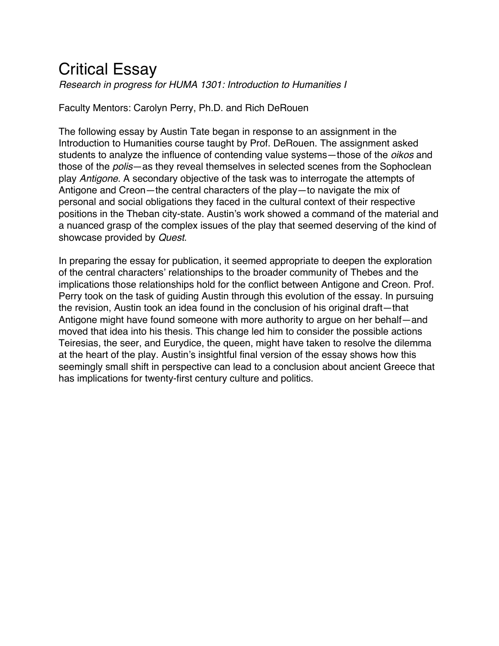# Critical Essay

*Research in progress for HUMA 1301: Introduction to Humanities I*

Faculty Mentors: Carolyn Perry, Ph.D. and Rich DeRouen

The following essay by Austin Tate began in response to an assignment in the Introduction to Humanities course taught by Prof. DeRouen. The assignment asked students to analyze the influence of contending value systems—those of the *oikos* and those of the *polis*—as they reveal themselves in selected scenes from the Sophoclean play *Antigone*. A secondary objective of the task was to interrogate the attempts of Antigone and Creon—the central characters of the play—to navigate the mix of personal and social obligations they faced in the cultural context of their respective positions in the Theban city-state. Austin's work showed a command of the material and a nuanced grasp of the complex issues of the play that seemed deserving of the kind of showcase provided by *Quest*.

In preparing the essay for publication, it seemed appropriate to deepen the exploration of the central characters' relationships to the broader community of Thebes and the implications those relationships hold for the conflict between Antigone and Creon. Prof. Perry took on the task of guiding Austin through this evolution of the essay. In pursuing the revision, Austin took an idea found in the conclusion of his original draft—that Antigone might have found someone with more authority to argue on her behalf—and moved that idea into his thesis. This change led him to consider the possible actions Teiresias, the seer, and Eurydice, the queen, might have taken to resolve the dilemma at the heart of the play. Austin's insightful final version of the essay shows how this seemingly small shift in perspective can lead to a conclusion about ancient Greece that has implications for twenty-first century culture and politics.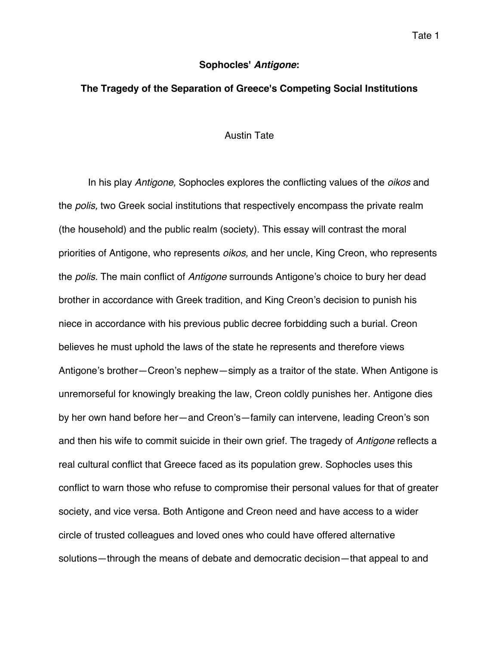#### **Sophocles'** *Antigone***:**

#### **The Tragedy of the Separation of Greece's Competing Social Institutions**

#### Austin Tate

In his play *Antigone,* Sophocles explores the conflicting values of the *oikos* and the *polis,* two Greek social institutions that respectively encompass the private realm (the household) and the public realm (society). This essay will contrast the moral priorities of Antigone, who represents *oikos,* and her uncle, King Creon, who represents the *polis.* The main conflict of *Antigone* surrounds Antigone's choice to bury her dead brother in accordance with Greek tradition, and King Creon's decision to punish his niece in accordance with his previous public decree forbidding such a burial. Creon believes he must uphold the laws of the state he represents and therefore views Antigone's brother—Creon's nephew—simply as a traitor of the state. When Antigone is unremorseful for knowingly breaking the law, Creon coldly punishes her. Antigone dies by her own hand before her—and Creon's—family can intervene, leading Creon's son and then his wife to commit suicide in their own grief. The tragedy of *Antigone* reflects a real cultural conflict that Greece faced as its population grew. Sophocles uses this conflict to warn those who refuse to compromise their personal values for that of greater society, and vice versa. Both Antigone and Creon need and have access to a wider circle of trusted colleagues and loved ones who could have offered alternative solutions—through the means of debate and democratic decision—that appeal to and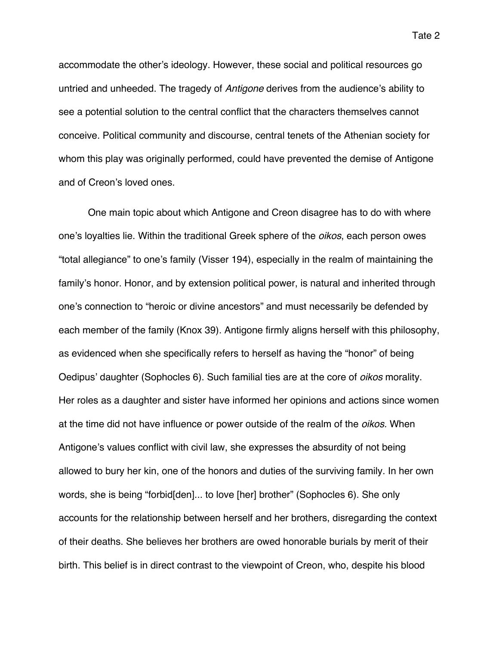accommodate the other's ideology. However, these social and political resources go untried and unheeded. The tragedy of *Antigone* derives from the audience's ability to see a potential solution to the central conflict that the characters themselves cannot conceive. Political community and discourse, central tenets of the Athenian society for whom this play was originally performed, could have prevented the demise of Antigone and of Creon's loved ones.

One main topic about which Antigone and Creon disagree has to do with where one's loyalties lie. Within the traditional Greek sphere of the *oikos*, each person owes "total allegiance" to one's family (Visser 194), especially in the realm of maintaining the family's honor. Honor, and by extension political power, is natural and inherited through one's connection to "heroic or divine ancestors" and must necessarily be defended by each member of the family (Knox 39). Antigone firmly aligns herself with this philosophy, as evidenced when she specifically refers to herself as having the "honor" of being Oedipus' daughter (Sophocles 6). Such familial ties are at the core of *oikos* morality. Her roles as a daughter and sister have informed her opinions and actions since women at the time did not have influence or power outside of the realm of the *oikos.* When Antigone's values conflict with civil law, she expresses the absurdity of not being allowed to bury her kin, one of the honors and duties of the surviving family. In her own words, she is being "forbid[den]... to love [her] brother" (Sophocles 6). She only accounts for the relationship between herself and her brothers, disregarding the context of their deaths. She believes her brothers are owed honorable burials by merit of their birth. This belief is in direct contrast to the viewpoint of Creon, who, despite his blood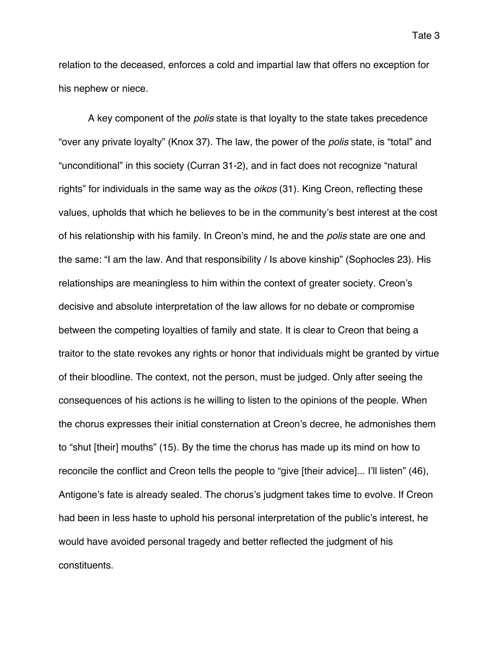relation to the deceased, enforces a cold and impartial law that offers no exception for his nephew or niece.

A key component of the *polis* state is that loyalty to the state takes precedence "over any private loyalty" (Knox 37). The law, the power of the *polis* state, is "total" and "unconditional" in this society (Curran 31-2), and in fact does not recognize "natural rights" for individuals in the same way as the *oikos* (31)*.* King Creon, reflecting these values, upholds that which he believes to be in the community's best interest at the cost of his relationship with his family. In Creon's mind, he and the *polis* state are one and the same: "I am the law. And that responsibility / Is above kinship" (Sophocles 23). His relationships are meaningless to him within the context of greater society. Creon's decisive and absolute interpretation of the law allows for no debate or compromise between the competing loyalties of family and state. It is clear to Creon that being a traitor to the state revokes any rights or honor that individuals might be granted by virtue of their bloodline. The context, not the person, must be judged. Only after seeing the consequences of his actions is he willing to listen to the opinions of the people. When the chorus expresses their initial consternation at Creon's decree, he admonishes them to "shut [their] mouths" (15). By the time the chorus has made up its mind on how to reconcile the conflict and Creon tells the people to "give [their advice]... I'll listen" (46), Antigone's fate is already sealed. The chorus's judgment takes time to evolve. If Creon had been in less haste to uphold his personal interpretation of the public's interest, he would have avoided personal tragedy and better reflected the judgment of his constituents.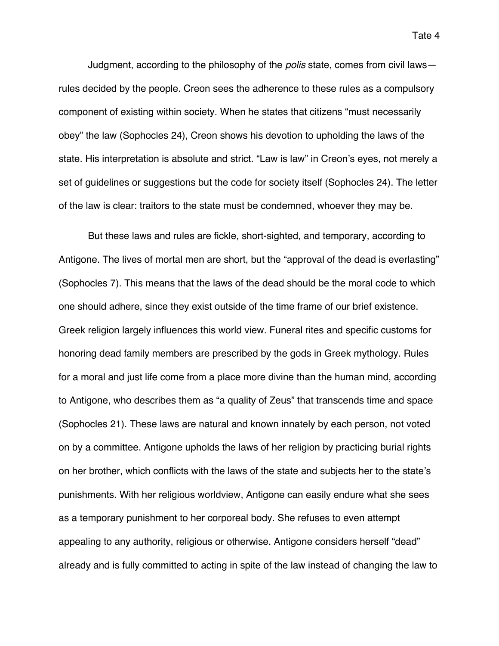Tate 4

Judgment, according to the philosophy of the *polis* state, comes from civil laws rules decided by the people. Creon sees the adherence to these rules as a compulsory component of existing within society. When he states that citizens "must necessarily obey" the law (Sophocles 24), Creon shows his devotion to upholding the laws of the state. His interpretation is absolute and strict. "Law is law" in Creon's eyes, not merely a set of guidelines or suggestions but the code for society itself (Sophocles 24). The letter of the law is clear: traitors to the state must be condemned, whoever they may be.

But these laws and rules are fickle, short-sighted, and temporary, according to Antigone. The lives of mortal men are short, but the "approval of the dead is everlasting" (Sophocles 7). This means that the laws of the dead should be the moral code to which one should adhere, since they exist outside of the time frame of our brief existence. Greek religion largely influences this world view. Funeral rites and specific customs for honoring dead family members are prescribed by the gods in Greek mythology. Rules for a moral and just life come from a place more divine than the human mind, according to Antigone, who describes them as "a quality of Zeus" that transcends time and space (Sophocles 21). These laws are natural and known innately by each person, not voted on by a committee. Antigone upholds the laws of her religion by practicing burial rights on her brother, which conflicts with the laws of the state and subjects her to the state's punishments. With her religious worldview, Antigone can easily endure what she sees as a temporary punishment to her corporeal body. She refuses to even attempt appealing to any authority, religious or otherwise. Antigone considers herself "dead" already and is fully committed to acting in spite of the law instead of changing the law to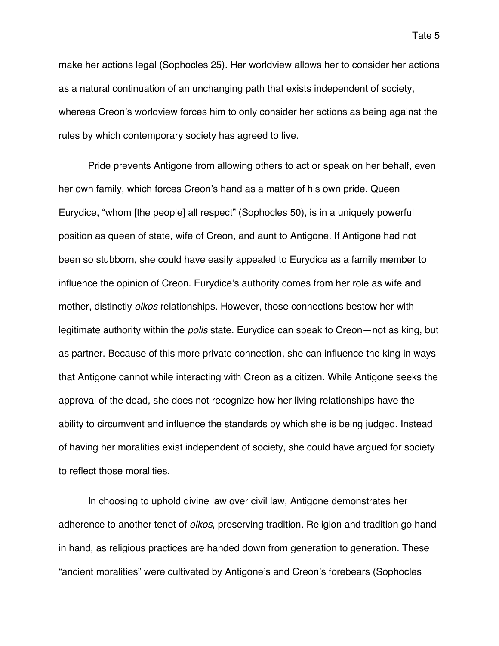make her actions legal (Sophocles 25). Her worldview allows her to consider her actions as a natural continuation of an unchanging path that exists independent of society, whereas Creon's worldview forces him to only consider her actions as being against the rules by which contemporary society has agreed to live.

Pride prevents Antigone from allowing others to act or speak on her behalf, even her own family, which forces Creon's hand as a matter of his own pride. Queen Eurydice, "whom [the people] all respect" (Sophocles 50), is in a uniquely powerful position as queen of state, wife of Creon, and aunt to Antigone. If Antigone had not been so stubborn, she could have easily appealed to Eurydice as a family member to influence the opinion of Creon. Eurydice's authority comes from her role as wife and mother, distinctly *oikos* relationships. However, those connections bestow her with legitimate authority within the *polis* state. Eurydice can speak to Creon—not as king, but as partner. Because of this more private connection, she can influence the king in ways that Antigone cannot while interacting with Creon as a citizen. While Antigone seeks the approval of the dead, she does not recognize how her living relationships have the ability to circumvent and influence the standards by which she is being judged. Instead of having her moralities exist independent of society, she could have argued for society to reflect those moralities.

In choosing to uphold divine law over civil law, Antigone demonstrates her adherence to another tenet of *oikos*, preserving tradition. Religion and tradition go hand in hand, as religious practices are handed down from generation to generation. These "ancient moralities" were cultivated by Antigone's and Creon's forebears (Sophocles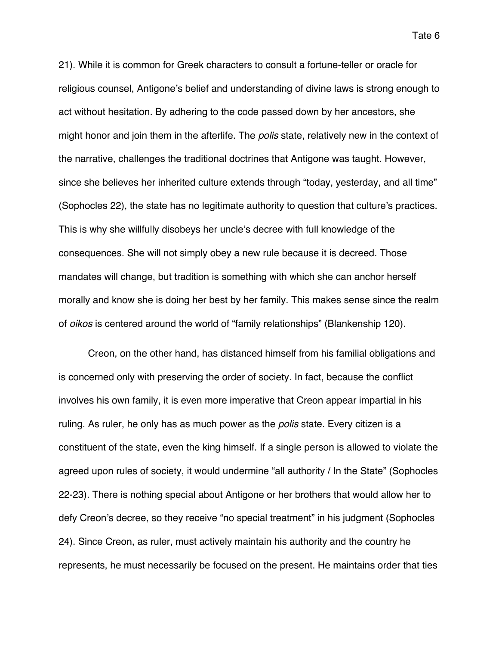21). While it is common for Greek characters to consult a fortune-teller or oracle for religious counsel, Antigone's belief and understanding of divine laws is strong enough to act without hesitation. By adhering to the code passed down by her ancestors, she might honor and join them in the afterlife. The *polis* state, relatively new in the context of the narrative, challenges the traditional doctrines that Antigone was taught. However, since she believes her inherited culture extends through "today, yesterday, and all time" (Sophocles 22), the state has no legitimate authority to question that culture's practices. This is why she willfully disobeys her uncle's decree with full knowledge of the consequences. She will not simply obey a new rule because it is decreed. Those mandates will change, but tradition is something with which she can anchor herself morally and know she is doing her best by her family. This makes sense since the realm of *oikos* is centered around the world of "family relationships" (Blankenship 120).

Creon, on the other hand, has distanced himself from his familial obligations and is concerned only with preserving the order of society. In fact, because the conflict involves his own family, it is even more imperative that Creon appear impartial in his ruling. As ruler, he only has as much power as the *polis* state. Every citizen is a constituent of the state, even the king himself. If a single person is allowed to violate the agreed upon rules of society, it would undermine "all authority / In the State" (Sophocles 22-23). There is nothing special about Antigone or her brothers that would allow her to defy Creon's decree, so they receive "no special treatment" in his judgment (Sophocles 24). Since Creon, as ruler, must actively maintain his authority and the country he represents, he must necessarily be focused on the present. He maintains order that ties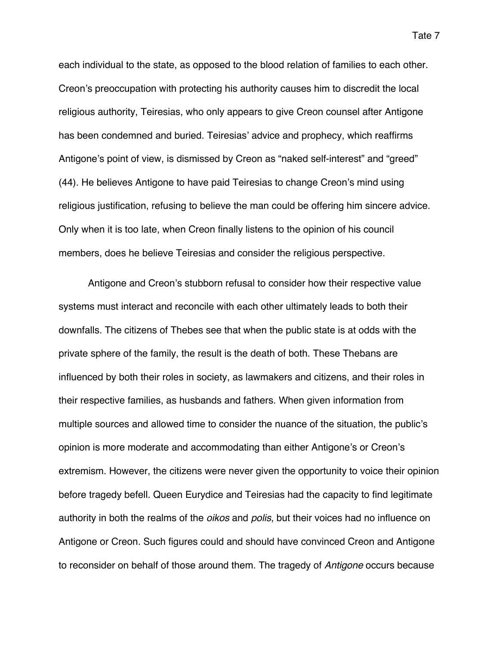each individual to the state, as opposed to the blood relation of families to each other. Creon's preoccupation with protecting his authority causes him to discredit the local religious authority, Teiresias, who only appears to give Creon counsel after Antigone has been condemned and buried. Teiresias' advice and prophecy, which reaffirms Antigone's point of view, is dismissed by Creon as "naked self-interest" and "greed" (44). He believes Antigone to have paid Teiresias to change Creon's mind using religious justification, refusing to believe the man could be offering him sincere advice. Only when it is too late, when Creon finally listens to the opinion of his council members, does he believe Teiresias and consider the religious perspective.

Antigone and Creon's stubborn refusal to consider how their respective value systems must interact and reconcile with each other ultimately leads to both their downfalls. The citizens of Thebes see that when the public state is at odds with the private sphere of the family, the result is the death of both. These Thebans are influenced by both their roles in society, as lawmakers and citizens, and their roles in their respective families, as husbands and fathers. When given information from multiple sources and allowed time to consider the nuance of the situation, the public's opinion is more moderate and accommodating than either Antigone's or Creon's extremism. However, the citizens were never given the opportunity to voice their opinion before tragedy befell. Queen Eurydice and Teiresias had the capacity to find legitimate authority in both the realms of the *oikos* and *polis*, but their voices had no influence on Antigone or Creon. Such figures could and should have convinced Creon and Antigone to reconsider on behalf of those around them. The tragedy of *Antigone* occurs because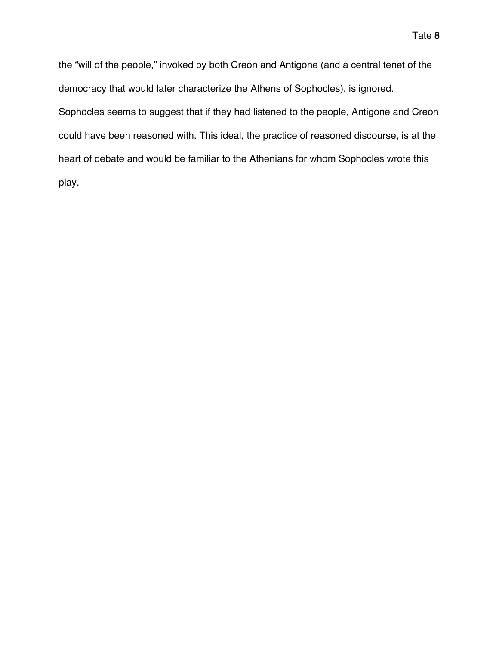the "will of the people," invoked by both Creon and Antigone (and a central tenet of the democracy that would later characterize the Athens of Sophocles), is ignored. Sophocles seems to suggest that if they had listened to the people, Antigone and Creon could have been reasoned with. This ideal, the practice of reasoned discourse, is at the heart of debate and would be familiar to the Athenians for whom Sophocles wrote this play.